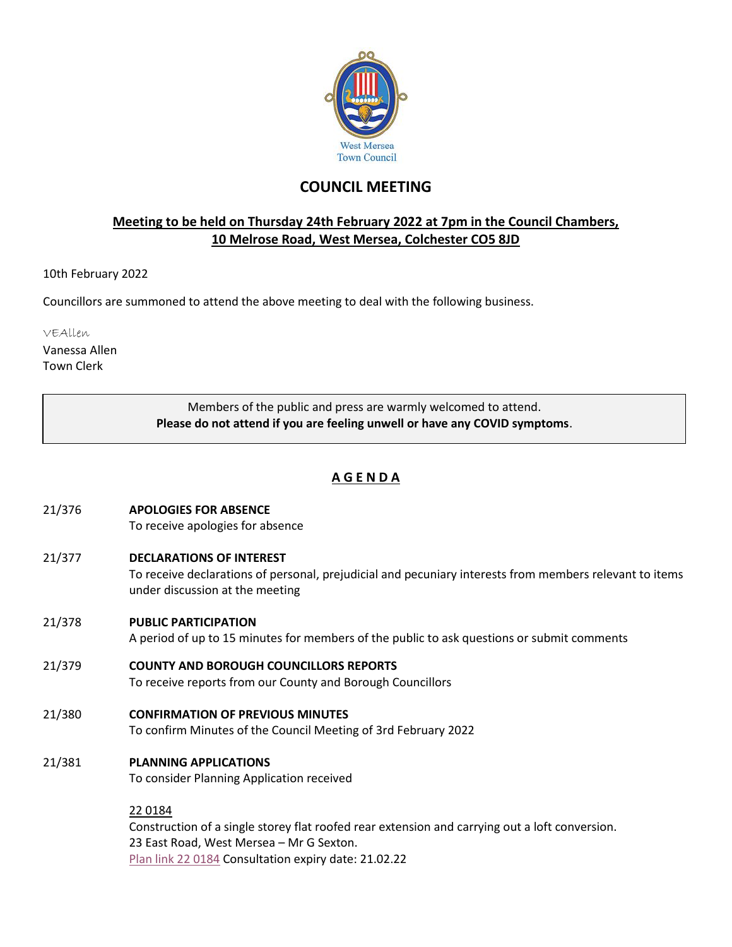

# **COUNCIL MEETING**

### **Meeting to be held on Thursday 24th February 2022 at 7pm in the Council Chambers, 10 Melrose Road, West Mersea, Colchester CO5 8JD**

10th February 2022

Councillors are summoned to attend the above meeting to deal with the following business.

VEAllen

Vanessa Allen Town Clerk

> Members of the public and press are warmly welcomed to attend. **Please do not attend if you are feeling unwell or have any COVID symptoms**.

## **A G E N D A**

- 21/376 **APOLOGIES FOR ABSENCE** To receive apologies for absence
- 21/377 **DECLARATIONS OF INTEREST** To receive declarations of personal, prejudicial and pecuniary interests from members relevant to items under discussion at the meeting
- 21/378 **PUBLIC PARTICIPATION**

A period of up to 15 minutes for members of the public to ask questions or submit comments

- 21/379 **COUNTY AND BOROUGH COUNCILLORS REPORTS** To receive reports from our County and Borough Councillors
- 21/380 **CONFIRMATION OF PREVIOUS MINUTES** To confirm Minutes of the Council Meeting of 3rd February 2022
- 21/381 **PLANNING APPLICATIONS**

To consider Planning Application received

22 0184

Construction of a single storey flat roofed rear extension and carrying out a loft conversion. 23 East Road, West Mersea – Mr G Sexton. [Plan link 22 0184](https://www.colchester.gov.uk/wampd/?id=220184) Consultation expiry date: 21.02.22